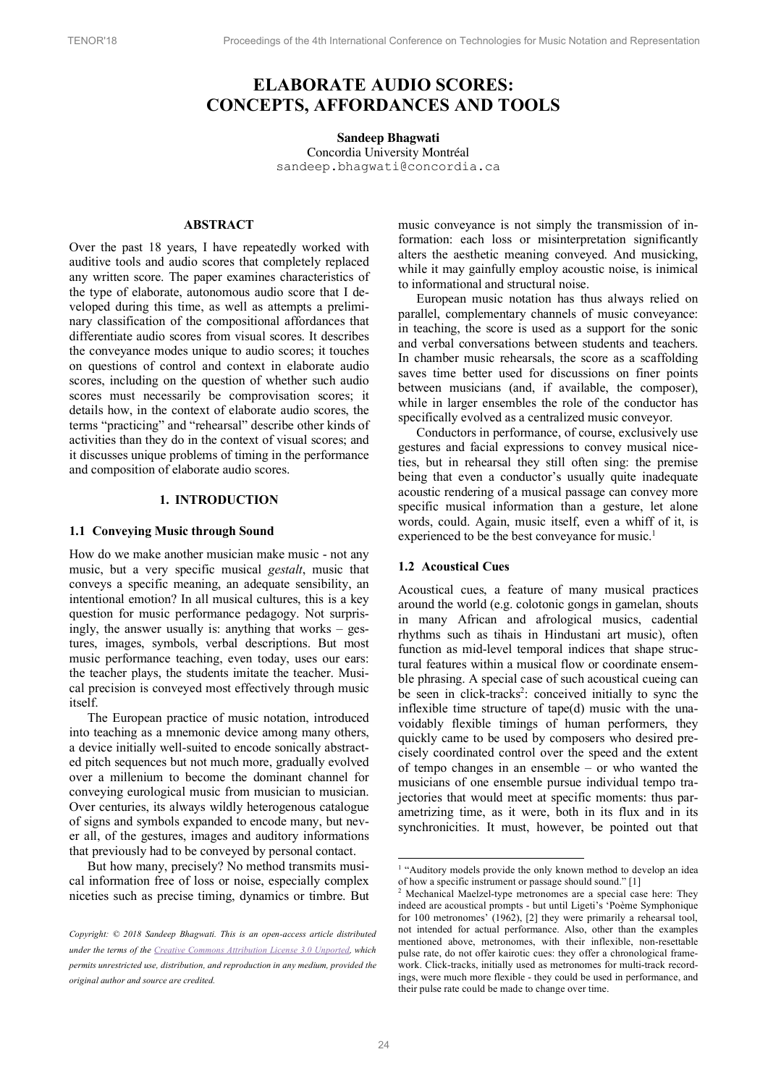# **ELABORATE AUDIO SCORES: CONCEPTS, AFFORDANCES AND TOOLS**

#### **Sandeep Bhagwati**

Concordia University Montréal sandeep.bhagwati@concordia.ca

# **ABSTRACT**

Over the past 18 years, I have repeatedly worked with auditive tools and audio scores that completely replaced any written score. The paper examines characteristics of the type of elaborate, autonomous audio score that I developed during this time, as well as attempts a preliminary classification of the compositional affordances that differentiate audio scores from visual scores. It describes the conveyance modes unique to audio scores; it touches on questions of control and context in elaborate audio scores, including on the question of whether such audio scores must necessarily be comprovisation scores; it details how, in the context of elaborate audio scores, the terms "practicing" and "rehearsal" describe other kinds of activities than they do in the context of visual scores; and it discusses unique problems of timing in the performance and composition of elaborate audio scores.

### **1. INTRODUCTION**

#### **1.1 Conveying Music through Sound**

How do we make another musician make music - not any music, but a very specific musical *gestalt*, music that conveys a specific meaning, an adequate sensibility, an intentional emotion? In all musical cultures, this is a key question for music performance pedagogy. Not surprisingly, the answer usually is: anything that works – gestures, images, symbols, verbal descriptions. But most music performance teaching, even today, uses our ears: the teacher plays, the students imitate the teacher. Musical precision is conveyed most effectively through music itself.

The European practice of music notation, introduced into teaching as a mnemonic device among many others, a device initially well-suited to encode sonically abstracted pitch sequences but not much more, gradually evolved over a millenium to become the dominant channel for conveying eurological music from musician to musician. Over centuries, its always wildly heterogenous catalogue of signs and symbols expanded to encode many, but never all, of the gestures, images and auditory informations that previously had to be conveyed by personal contact.

But how many, precisely? No method transmits musical information free of loss or noise, especially complex niceties such as precise timing, dynamics or timbre. But music conveyance is not simply the transmission of information: each loss or misinterpretation significantly alters the aesthetic meaning conveyed. And musicking, while it may gainfully employ acoustic noise, is inimical to informational and structural noise.

European music notation has thus always relied on parallel, complementary channels of music conveyance: in teaching, the score is used as a support for the sonic and verbal conversations between students and teachers. In chamber music rehearsals, the score as a scaffolding saves time better used for discussions on finer points between musicians (and, if available, the composer), while in larger ensembles the role of the conductor has specifically evolved as a centralized music conveyor.

Conductors in performance, of course, exclusively use gestures and facial expressions to convey musical niceties, but in rehearsal they still often sing: the premise being that even a conductor's usually quite inadequate acoustic rendering of a musical passage can convey more specific musical information than a gesture, let alone words, could. Again, music itself, even a whiff of it, is experienced to be the best conveyance for music.<sup>1</sup>

#### **1.2 Acoustical Cues**

Acoustical cues, a feature of many musical practices around the world (e.g. colotonic gongs in gamelan, shouts in many African and afrological musics, cadential rhythms such as tihais in Hindustani art music), often function as mid-level temporal indices that shape structural features within a musical flow or coordinate ensemble phrasing. A special case of such acoustical cueing can be seen in click-tracks<sup>2</sup>: conceived initially to sync the inflexible time structure of tape(d) music with the unavoidably flexible timings of human performers, they quickly came to be used by composers who desired precisely coordinated control over the speed and the extent of tempo changes in an ensemble – or who wanted the musicians of one ensemble pursue individual tempo trajectories that would meet at specific moments: thus parametrizing time, as it were, both in its flux and in its synchronicities. It must, however, be pointed out that

*Copyright: © 2018 Sandeep Bhagwati. This is an open-access article distributed under the terms of the Creative Commons Attribution License 3.0 Unported, which permits unrestricted use, distribution, and reproduction in any medium, provided the original author and source are credited.*

<sup>&</sup>lt;sup>1</sup> "Auditory models provide the only known method to develop an idea of how a specific instrument or passage should sound." [1]

<sup>2</sup> Mechanical Maelzel-type metronomes are a special case here: They indeed are acoustical prompts - but until Ligeti's 'Poème Symphonique for 100 metronomes' (1962), [2] they were primarily a rehearsal tool, not intended for actual performance. Also, other than the examples mentioned above, metronomes, with their inflexible, non-resettable pulse rate, do not offer kairotic cues: they offer a chronological framework. Click-tracks, initially used as metronomes for multi-track recordings, were much more flexible - they could be used in performance, and their pulse rate could be made to change over time.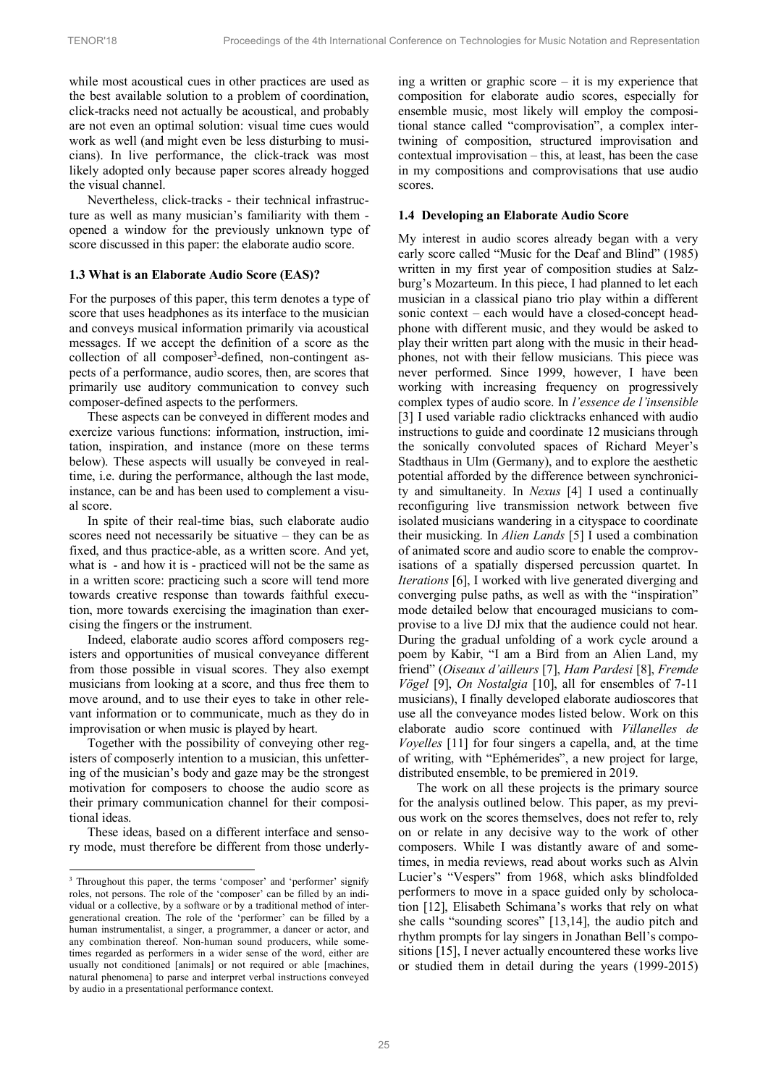while most acoustical cues in other practices are used as the best available solution to a problem of coordination, click-tracks need not actually be acoustical, and probably are not even an optimal solution: visual time cues would work as well (and might even be less disturbing to musicians). In live performance, the click-track was most likely adopted only because paper scores already hogged the visual channel.

Nevertheless, click-tracks - their technical infrastructure as well as many musician's familiarity with them opened a window for the previously unknown type of score discussed in this paper: the elaborate audio score.

# **1.3 What is an Elaborate Audio Score (EAS)?**

For the purposes of this paper, this term denotes a type of score that uses headphones as its interface to the musician and conveys musical information primarily via acoustical messages. If we accept the definition of a score as the collection of all composer<sup>3</sup>-defined, non-contingent aspects of a performance, audio scores, then, are scores that primarily use auditory communication to convey such composer-defined aspects to the performers.

These aspects can be conveyed in different modes and exercize various functions: information, instruction, imitation, inspiration, and instance (more on these terms below). These aspects will usually be conveyed in realtime, i.e. during the performance, although the last mode, instance, can be and has been used to complement a visual score.

In spite of their real-time bias, such elaborate audio scores need not necessarily be situative – they can be as fixed, and thus practice-able, as a written score. And yet, what is - and how it is - practiced will not be the same as in a written score: practicing such a score will tend more towards creative response than towards faithful execution, more towards exercising the imagination than exercising the fingers or the instrument.

Indeed, elaborate audio scores afford composers registers and opportunities of musical conveyance different from those possible in visual scores. They also exempt musicians from looking at a score, and thus free them to move around, and to use their eyes to take in other relevant information or to communicate, much as they do in improvisation or when music is played by heart.

Together with the possibility of conveying other registers of composerly intention to a musician, this unfettering of the musician's body and gaze may be the strongest motivation for composers to choose the audio score as their primary communication channel for their compositional ideas.

These ideas, based on a different interface and sensory mode, must therefore be different from those underly-

1

ing a written or graphic score – it is my experience that composition for elaborate audio scores, especially for ensemble music, most likely will employ the compositional stance called "comprovisation", a complex intertwining of composition, structured improvisation and contextual improvisation – this, at least, has been the case in my compositions and comprovisations that use audio scores.

# **1.4 Developing an Elaborate Audio Score**

My interest in audio scores already began with a very early score called "Music for the Deaf and Blind" (1985) written in my first year of composition studies at Salzburg's Mozarteum. In this piece, I had planned to let each musician in a classical piano trio play within a different sonic context – each would have a closed-concept headphone with different music, and they would be asked to play their written part along with the music in their headphones, not with their fellow musicians. This piece was never performed. Since 1999, however, I have been working with increasing frequency on progressively complex types of audio score. In *l'essence de l'insensible* [3] I used variable radio clicktracks enhanced with audio instructions to guide and coordinate 12 musicians through the sonically convoluted spaces of Richard Meyer's Stadthaus in Ulm (Germany), and to explore the aesthetic potential afforded by the difference between synchronicity and simultaneity. In *Nexus* [4] I used a continually reconfiguring live transmission network between five isolated musicians wandering in a cityspace to coordinate their musicking. In *Alien Lands* [5] I used a combination of animated score and audio score to enable the comprovisations of a spatially dispersed percussion quartet. In *Iterations* [6], I worked with live generated diverging and converging pulse paths, as well as with the "inspiration" mode detailed below that encouraged musicians to comprovise to a live DJ mix that the audience could not hear. During the gradual unfolding of a work cycle around a poem by Kabir, "I am a Bird from an Alien Land, my friend" (*Oiseaux d'ailleurs* [7], *Ham Pardesi* [8], *Fremde Vögel* [9], *On Nostalgia* [10], all for ensembles of 7-11 musicians), I finally developed elaborate audioscores that use all the conveyance modes listed below. Work on this elaborate audio score continued with *Villanelles de Voyelles* [11] for four singers a capella, and, at the time of writing, with "Ephémerides", a new project for large, distributed ensemble, to be premiered in 2019.

The work on all these projects is the primary source for the analysis outlined below. This paper, as my previous work on the scores themselves, does not refer to, rely on or relate in any decisive way to the work of other composers. While I was distantly aware of and sometimes, in media reviews, read about works such as Alvin Lucier's "Vespers" from 1968, which asks blindfolded performers to move in a space guided only by scholocation [12], Elisabeth Schimana's works that rely on what she calls "sounding scores" [13,14], the audio pitch and rhythm prompts for lay singers in Jonathan Bell's compositions [15], I never actually encountered these works live or studied them in detail during the years (1999-2015)

<sup>&</sup>lt;sup>3</sup> Throughout this paper, the terms 'composer' and 'performer' signify roles, not persons. The role of the 'composer' can be filled by an individual or a collective, by a software or by a traditional method of intergenerational creation. The role of the 'performer' can be filled by a human instrumentalist, a singer, a programmer, a dancer or actor, and any combination thereof. Non-human sound producers, while sometimes regarded as performers in a wider sense of the word, either are usually not conditioned [animals] or not required or able [machines, natural phenomena] to parse and interpret verbal instructions conveyed by audio in a presentational performance context.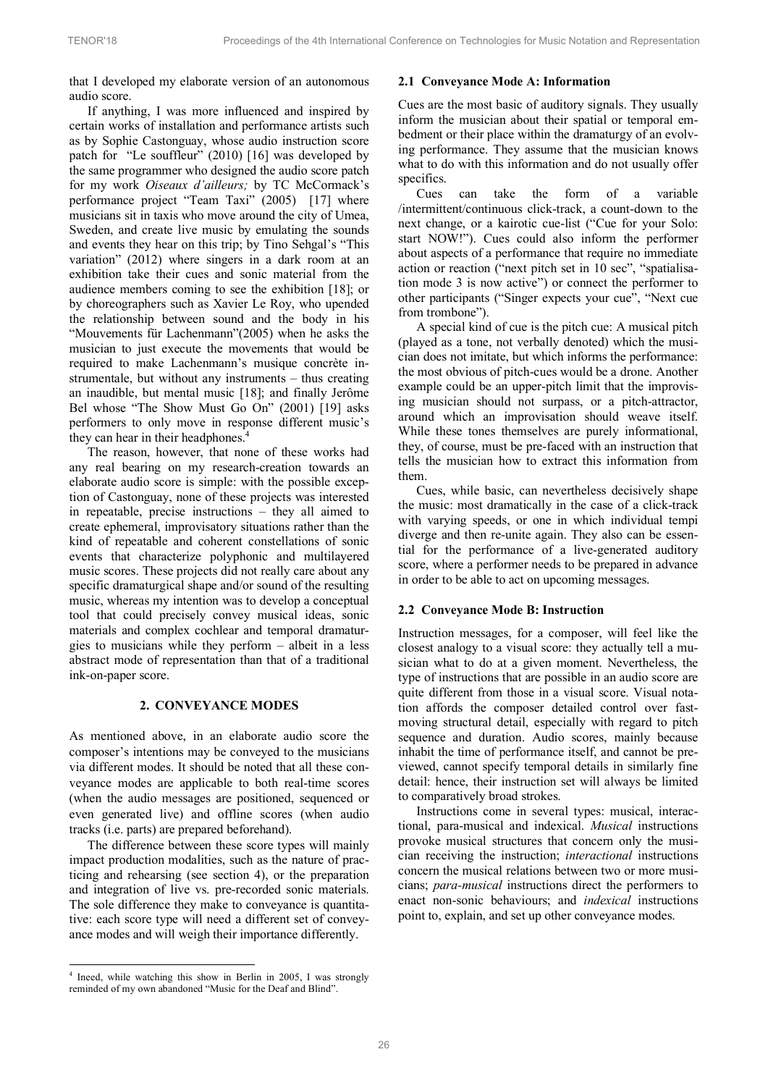that I developed my elaborate version of an autonomous audio score.

If anything, I was more influenced and inspired by certain works of installation and performance artists such as by Sophie Castonguay, whose audio instruction score patch for "Le souffleur" (2010) [16] was developed by the same programmer who designed the audio score patch for my work *Oiseaux d'ailleurs;* by TC McCormack's performance project "Team Taxi" (2005) [17] where musicians sit in taxis who move around the city of Umea, Sweden, and create live music by emulating the sounds and events they hear on this trip; by Tino Sehgal's "This variation" (2012) where singers in a dark room at an exhibition take their cues and sonic material from the audience members coming to see the exhibition [18]; or by choreographers such as Xavier Le Roy, who upended the relationship between sound and the body in his "Mouvements für Lachenmann"(2005) when he asks the musician to just execute the movements that would be required to make Lachenmann's musique concrète instrumentale, but without any instruments – thus creating an inaudible, but mental music [18]; and finally Jerôme Bel whose "The Show Must Go On" (2001) [19] asks performers to only move in response different music's they can hear in their headphones.<sup>4</sup>

The reason, however, that none of these works had any real bearing on my research-creation towards an elaborate audio score is simple: with the possible exception of Castonguay, none of these projects was interested in repeatable, precise instructions – they all aimed to create ephemeral, improvisatory situations rather than the kind of repeatable and coherent constellations of sonic events that characterize polyphonic and multilayered music scores. These projects did not really care about any specific dramaturgical shape and/or sound of the resulting music, whereas my intention was to develop a conceptual tool that could precisely convey musical ideas, sonic materials and complex cochlear and temporal dramaturgies to musicians while they perform – albeit in a less abstract mode of representation than that of a traditional ink-on-paper score.

### **2. CONVEYANCE MODES**

As mentioned above, in an elaborate audio score the composer's intentions may be conveyed to the musicians via different modes. It should be noted that all these conveyance modes are applicable to both real-time scores (when the audio messages are positioned, sequenced or even generated live) and offline scores (when audio tracks (i.e. parts) are prepared beforehand).

The difference between these score types will mainly impact production modalities, such as the nature of practicing and rehearsing (see section 4), or the preparation and integration of live vs. pre-recorded sonic materials. The sole difference they make to conveyance is quantitative: each score type will need a different set of conveyance modes and will weigh their importance differently.

-

#### **2.1 Conveyance Mode A: Information**

Cues are the most basic of auditory signals. They usually inform the musician about their spatial or temporal embedment or their place within the dramaturgy of an evolving performance. They assume that the musician knows what to do with this information and do not usually offer specifics.

Cues can take the form of a variable /intermittent/continuous click-track, a count-down to the next change, or a kairotic cue-list ("Cue for your Solo: start NOW!"). Cues could also inform the performer about aspects of a performance that require no immediate action or reaction ("next pitch set in 10 sec", "spatialisation mode 3 is now active") or connect the performer to other participants ("Singer expects your cue", "Next cue from trombone").

A special kind of cue is the pitch cue: A musical pitch (played as a tone, not verbally denoted) which the musician does not imitate, but which informs the performance: the most obvious of pitch-cues would be a drone. Another example could be an upper-pitch limit that the improvising musician should not surpass, or a pitch-attractor, around which an improvisation should weave itself. While these tones themselves are purely informational, they, of course, must be pre-faced with an instruction that tells the musician how to extract this information from them.

Cues, while basic, can nevertheless decisively shape the music: most dramatically in the case of a click-track with varying speeds, or one in which individual tempi diverge and then re-unite again. They also can be essential for the performance of a live-generated auditory score, where a performer needs to be prepared in advance in order to be able to act on upcoming messages.

### **2.2 Conveyance Mode B: Instruction**

Instruction messages, for a composer, will feel like the closest analogy to a visual score: they actually tell a musician what to do at a given moment. Nevertheless, the type of instructions that are possible in an audio score are quite different from those in a visual score. Visual notation affords the composer detailed control over fastmoving structural detail, especially with regard to pitch sequence and duration. Audio scores, mainly because inhabit the time of performance itself, and cannot be previewed, cannot specify temporal details in similarly fine detail: hence, their instruction set will always be limited to comparatively broad strokes.

Instructions come in several types: musical, interactional, para-musical and indexical. *Musical* instructions provoke musical structures that concern only the musician receiving the instruction; *interactional* instructions concern the musical relations between two or more musicians; *para-musical* instructions direct the performers to enact non-sonic behaviours; and *indexical* instructions point to, explain, and set up other conveyance modes.

<sup>4</sup> Ineed, while watching this show in Berlin in 2005, I was strongly reminded of my own abandoned "Music for the Deaf and Blind".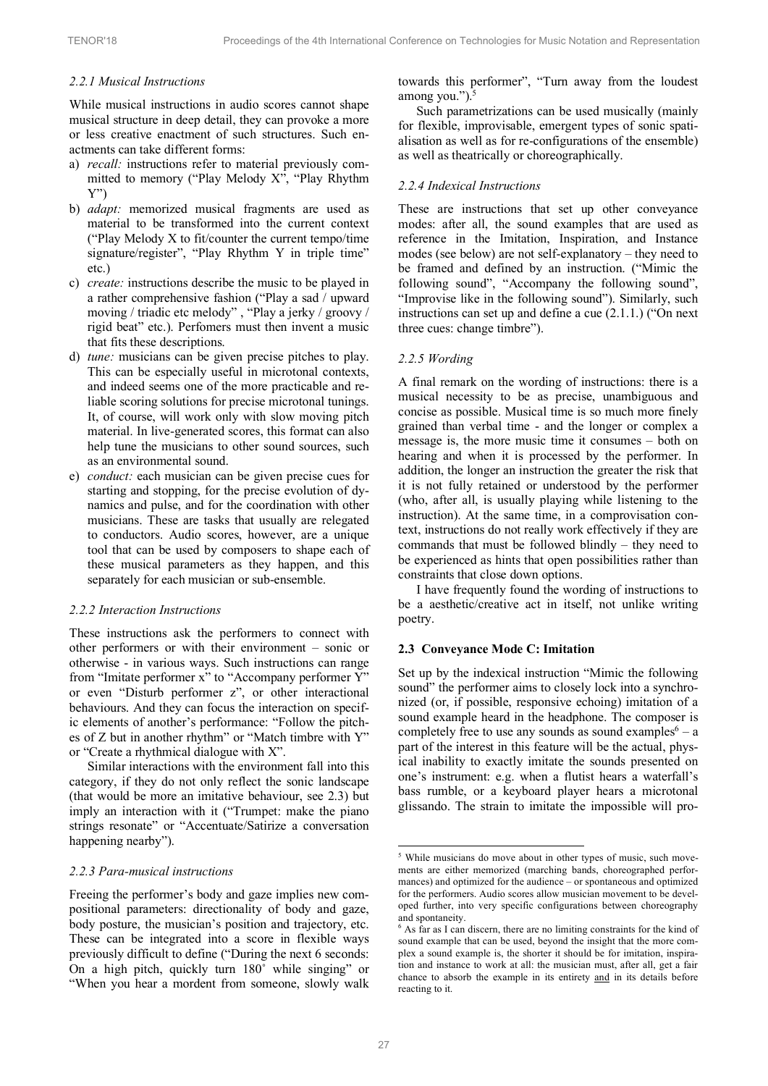## *2.2.1 Musical Instructions*

While musical instructions in audio scores cannot shape musical structure in deep detail, they can provoke a more or less creative enactment of such structures. Such enactments can take different forms:

- a) *recall:* instructions refer to material previously committed to memory ("Play Melody X", "Play Rhythm Y")
- b) *adapt:* memorized musical fragments are used as material to be transformed into the current context ("Play Melody X to fit/counter the current tempo/time signature/register", "Play Rhythm Y in triple time" etc.)
- c) *create:* instructions describe the music to be played in a rather comprehensive fashion ("Play a sad / upward moving / triadic etc melody" , "Play a jerky / groovy / rigid beat" etc.). Perfomers must then invent a music that fits these descriptions.
- d) *tune:* musicians can be given precise pitches to play. This can be especially useful in microtonal contexts, and indeed seems one of the more practicable and reliable scoring solutions for precise microtonal tunings. It, of course, will work only with slow moving pitch material. In live-generated scores, this format can also help tune the musicians to other sound sources, such as an environmental sound.
- e) *conduct:* each musician can be given precise cues for starting and stopping, for the precise evolution of dynamics and pulse, and for the coordination with other musicians. These are tasks that usually are relegated to conductors. Audio scores, however, are a unique tool that can be used by composers to shape each of these musical parameters as they happen, and this separately for each musician or sub-ensemble.

### *2.2.2 Interaction Instructions*

These instructions ask the performers to connect with other performers or with their environment – sonic or otherwise - in various ways. Such instructions can range from "Imitate performer x" to "Accompany performer Y" or even "Disturb performer z", or other interactional behaviours. And they can focus the interaction on specific elements of another's performance: "Follow the pitches of Z but in another rhythm" or "Match timbre with Y" or "Create a rhythmical dialogue with X".

Similar interactions with the environment fall into this category, if they do not only reflect the sonic landscape (that would be more an imitative behaviour, see 2.3) but imply an interaction with it ("Trumpet: make the piano strings resonate" or "Accentuate/Satirize a conversation happening nearby").

#### *2.2.3 Para-musical instructions*

Freeing the performer's body and gaze implies new compositional parameters: directionality of body and gaze, body posture, the musician's position and trajectory, etc. These can be integrated into a score in flexible ways previously difficult to define ("During the next 6 seconds: On a high pitch, quickly turn 180˚ while singing" or "When you hear a mordent from someone, slowly walk

towards this performer", "Turn away from the loudest among you." $)$ .<sup>5</sup>

Such parametrizations can be used musically (mainly for flexible, improvisable, emergent types of sonic spatialisation as well as for re-configurations of the ensemble) as well as theatrically or choreographically.

### *2.2.4 Indexical Instructions*

These are instructions that set up other conveyance modes: after all, the sound examples that are used as reference in the Imitation, Inspiration, and Instance modes (see below) are not self-explanatory – they need to be framed and defined by an instruction. ("Mimic the following sound", "Accompany the following sound", "Improvise like in the following sound"). Similarly, such instructions can set up and define a cue (2.1.1.) ("On next three cues: change timbre").

# *2.2.5 Wording*

A final remark on the wording of instructions: there is a musical necessity to be as precise, unambiguous and concise as possible. Musical time is so much more finely grained than verbal time - and the longer or complex a message is, the more music time it consumes – both on hearing and when it is processed by the performer. In addition, the longer an instruction the greater the risk that it is not fully retained or understood by the performer (who, after all, is usually playing while listening to the instruction). At the same time, in a comprovisation context, instructions do not really work effectively if they are commands that must be followed blindly – they need to be experienced as hints that open possibilities rather than constraints that close down options.

I have frequently found the wording of instructions to be a aesthetic/creative act in itself, not unlike writing poetry.

### **2.3 Conveyance Mode C: Imitation**

Set up by the indexical instruction "Mimic the following sound" the performer aims to closely lock into a synchronized (or, if possible, responsive echoing) imitation of a sound example heard in the headphone. The composer is completely free to use any sounds as sound examples  $6 - a$ part of the interest in this feature will be the actual, physical inability to exactly imitate the sounds presented on one's instrument: e.g. when a flutist hears a waterfall's bass rumble, or a keyboard player hears a microtonal glissando. The strain to imitate the impossible will pro-

<sup>5</sup> While musicians do move about in other types of music, such movements are either memorized (marching bands, choreographed performances) and optimized for the audience – or spontaneous and optimized for the performers. Audio scores allow musician movement to be developed further, into very specific configurations between choreography and spontaneity.

<sup>6</sup> As far as I can discern, there are no limiting constraints for the kind of sound example that can be used, beyond the insight that the more complex a sound example is, the shorter it should be for imitation, inspiration and instance to work at all: the musician must, after all, get a fair chance to absorb the example in its entirety and in its details before reacting to it.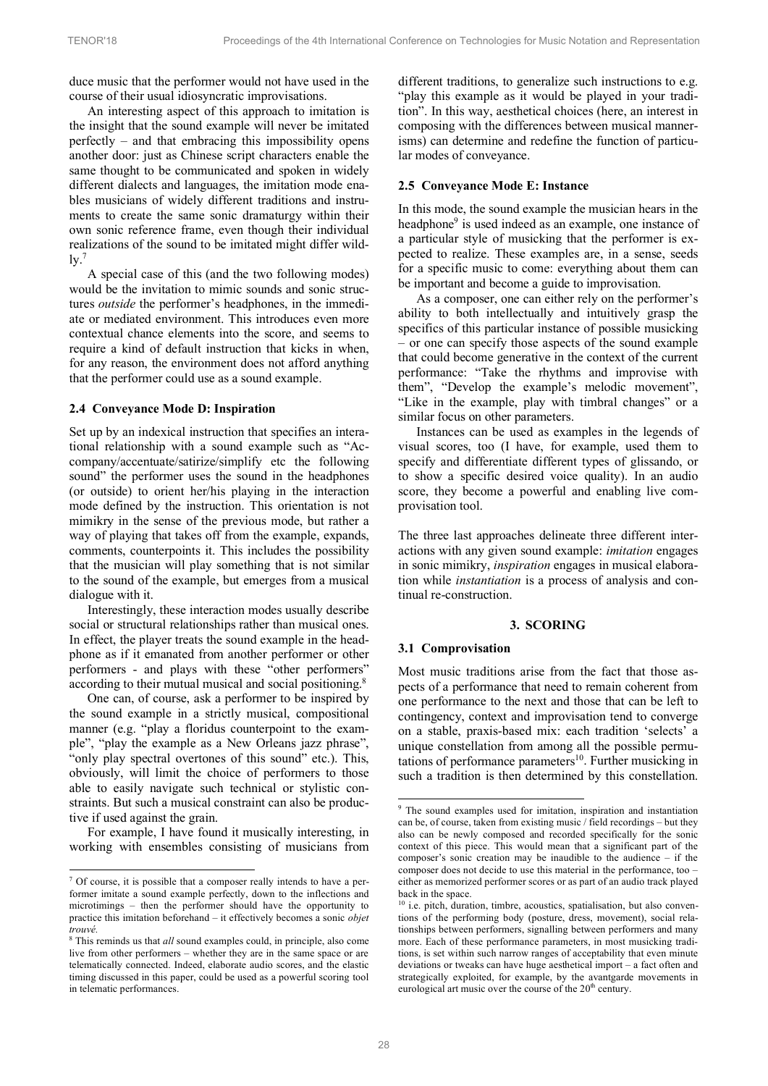duce music that the performer would not have used in the course of their usual idiosyncratic improvisations.

An interesting aspect of this approach to imitation is the insight that the sound example will never be imitated perfectly – and that embracing this impossibility opens another door: just as Chinese script characters enable the same thought to be communicated and spoken in widely different dialects and languages, the imitation mode enables musicians of widely different traditions and instruments to create the same sonic dramaturgy within their own sonic reference frame, even though their individual realizations of the sound to be imitated might differ wild- $\rm 1y$ .

A special case of this (and the two following modes) would be the invitation to mimic sounds and sonic structures *outside* the performer's headphones, in the immediate or mediated environment. This introduces even more contextual chance elements into the score, and seems to require a kind of default instruction that kicks in when, for any reason, the environment does not afford anything that the performer could use as a sound example.

# **2.4 Conveyance Mode D: Inspiration**

Set up by an indexical instruction that specifies an interational relationship with a sound example such as "Accompany/accentuate/satirize/simplify etc the following sound" the performer uses the sound in the headphones (or outside) to orient her/his playing in the interaction mode defined by the instruction. This orientation is not mimikry in the sense of the previous mode, but rather a way of playing that takes off from the example, expands, comments, counterpoints it. This includes the possibility that the musician will play something that is not similar to the sound of the example, but emerges from a musical dialogue with it.

Interestingly, these interaction modes usually describe social or structural relationships rather than musical ones. In effect, the player treats the sound example in the headphone as if it emanated from another performer or other performers - and plays with these "other performers" according to their mutual musical and social positioning.<sup>8</sup>

One can, of course, ask a performer to be inspired by the sound example in a strictly musical, compositional manner (e.g. "play a floridus counterpoint to the example", "play the example as a New Orleans jazz phrase", "only play spectral overtones of this sound" etc.). This, obviously, will limit the choice of performers to those able to easily navigate such technical or stylistic constraints. But such a musical constraint can also be productive if used against the grain.

For example, I have found it musically interesting, in working with ensembles consisting of musicians from

1

different traditions, to generalize such instructions to e.g. "play this example as it would be played in your tradition". In this way, aesthetical choices (here, an interest in composing with the differences between musical mannerisms) can determine and redefine the function of particular modes of conveyance.

# **2.5 Conveyance Mode E: Instance**

In this mode, the sound example the musician hears in the headphone<sup>9</sup> is used indeed as an example, one instance of a particular style of musicking that the performer is expected to realize. These examples are, in a sense, seeds for a specific music to come: everything about them can be important and become a guide to improvisation.

As a composer, one can either rely on the performer's ability to both intellectually and intuitively grasp the specifics of this particular instance of possible musicking – or one can specify those aspects of the sound example that could become generative in the context of the current performance: "Take the rhythms and improvise with them", "Develop the example's melodic movement", "Like in the example, play with timbral changes" or a similar focus on other parameters.

Instances can be used as examples in the legends of visual scores, too (I have, for example, used them to specify and differentiate different types of glissando, or to show a specific desired voice quality). In an audio score, they become a powerful and enabling live comprovisation tool.

The three last approaches delineate three different interactions with any given sound example: *imitation* engages in sonic mimikry, *inspiration* engages in musical elaboration while *instantiation* is a process of analysis and continual re-construction.

### **3. SCORING**

### **3.1 Comprovisation**

Most music traditions arise from the fact that those aspects of a performance that need to remain coherent from one performance to the next and those that can be left to contingency, context and improvisation tend to converge on a stable, praxis-based mix: each tradition 'selects' a unique constellation from among all the possible permutations of performance parameters<sup>10</sup>. Further musicking in such a tradition is then determined by this constellation.

<sup>&</sup>lt;sup>7</sup> Of course, it is possible that a composer really intends to have a performer imitate a sound example perfectly, down to the inflections and microtimings – then the performer should have the opportunity to practice this imitation beforehand – it effectively becomes a sonic *objet trouvé.*

<sup>8</sup> This reminds us that *all* sound examples could, in principle, also come live from other performers – whether they are in the same space or are telematically connected. Indeed, elaborate audio scores, and the elastic timing discussed in this paper, could be used as a powerful scoring tool in telematic performances.

<sup>&</sup>lt;sup>9</sup> The sound examples used for imitation, inspiration and instantiation can be, of course, taken from existing music / field recordings – but they also can be newly composed and recorded specifically for the sonic context of this piece. This would mean that a significant part of the composer's sonic creation may be inaudible to the audience – if the composer does not decide to use this material in the performance, too – either as memorized performer scores or as part of an audio track played back in the space.

<sup>&</sup>lt;sup>10</sup> i.e. pitch, duration, timbre, acoustics, spatialisation, but also conventions of the performing body (posture, dress, movement), social relationships between performers, signalling between performers and many more. Each of these performance parameters, in most musicking traditions, is set within such narrow ranges of acceptability that even minute deviations or tweaks can have huge aesthetical import – a fact often and strategically exploited, for example, by the avantgarde movements in eurological art music over the course of the  $20<sup>th</sup>$  century.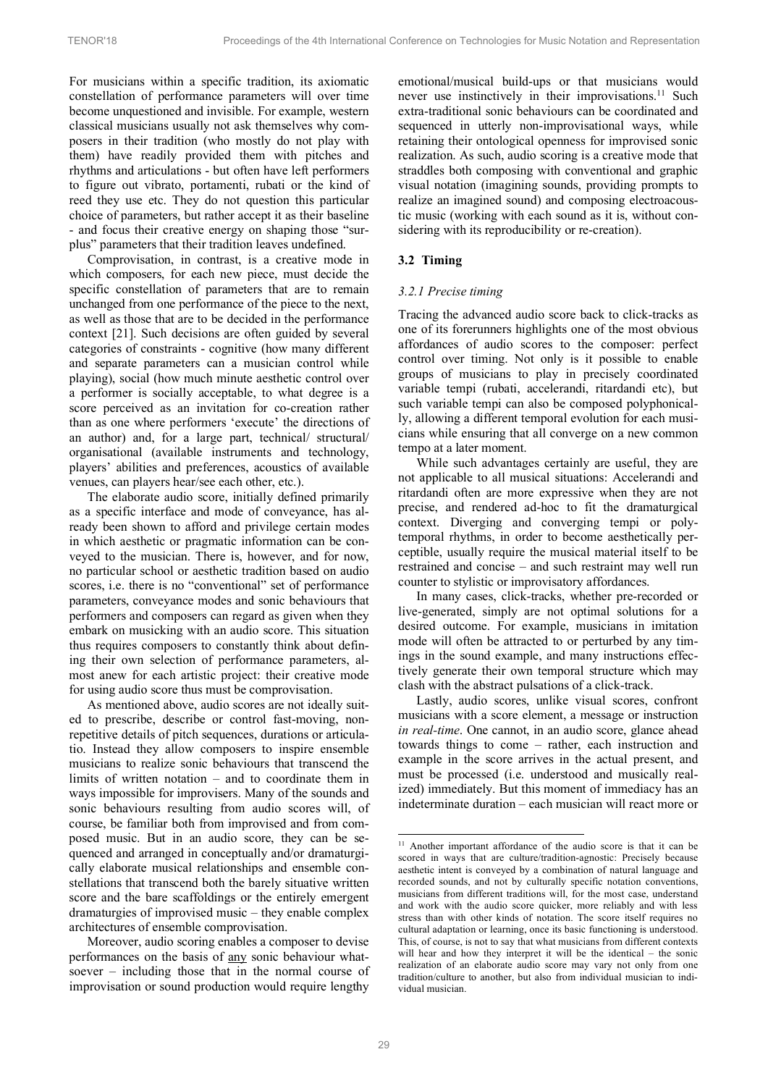For musicians within a specific tradition, its axiomatic constellation of performance parameters will over time become unquestioned and invisible. For example, western classical musicians usually not ask themselves why composers in their tradition (who mostly do not play with them) have readily provided them with pitches and rhythms and articulations - but often have left performers to figure out vibrato, portamenti, rubati or the kind of reed they use etc. They do not question this particular choice of parameters, but rather accept it as their baseline - and focus their creative energy on shaping those "surplus" parameters that their tradition leaves undefined.

Comprovisation, in contrast, is a creative mode in which composers, for each new piece, must decide the specific constellation of parameters that are to remain unchanged from one performance of the piece to the next, as well as those that are to be decided in the performance context [21]. Such decisions are often guided by several categories of constraints - cognitive (how many different and separate parameters can a musician control while playing), social (how much minute aesthetic control over a performer is socially acceptable, to what degree is a score perceived as an invitation for co-creation rather than as one where performers 'execute' the directions of an author) and, for a large part, technical/ structural/ organisational (available instruments and technology, players' abilities and preferences, acoustics of available venues, can players hear/see each other, etc.).

The elaborate audio score, initially defined primarily as a specific interface and mode of conveyance, has already been shown to afford and privilege certain modes in which aesthetic or pragmatic information can be conveyed to the musician. There is, however, and for now, no particular school or aesthetic tradition based on audio scores, i.e. there is no "conventional" set of performance parameters, conveyance modes and sonic behaviours that performers and composers can regard as given when they embark on musicking with an audio score. This situation thus requires composers to constantly think about defining their own selection of performance parameters, almost anew for each artistic project: their creative mode for using audio score thus must be comprovisation.

As mentioned above, audio scores are not ideally suited to prescribe, describe or control fast-moving, nonrepetitive details of pitch sequences, durations or articulatio. Instead they allow composers to inspire ensemble musicians to realize sonic behaviours that transcend the limits of written notation – and to coordinate them in ways impossible for improvisers. Many of the sounds and sonic behaviours resulting from audio scores will, of course, be familiar both from improvised and from composed music. But in an audio score, they can be sequenced and arranged in conceptually and/or dramaturgically elaborate musical relationships and ensemble constellations that transcend both the barely situative written score and the bare scaffoldings or the entirely emergent dramaturgies of improvised music – they enable complex architectures of ensemble comprovisation.

Moreover, audio scoring enables a composer to devise performances on the basis of any sonic behaviour whatsoever – including those that in the normal course of improvisation or sound production would require lengthy emotional/musical build-ups or that musicians would never use instinctively in their improvisations.<sup>11</sup> Such extra-traditional sonic behaviours can be coordinated and sequenced in utterly non-improvisational ways, while retaining their ontological openness for improvised sonic realization. As such, audio scoring is a creative mode that straddles both composing with conventional and graphic visual notation (imagining sounds, providing prompts to realize an imagined sound) and composing electroacoustic music (working with each sound as it is, without considering with its reproducibility or re-creation).

# **3.2 Timing**

### *3.2.1 Precise timing*

Tracing the advanced audio score back to click-tracks as one of its forerunners highlights one of the most obvious affordances of audio scores to the composer: perfect control over timing. Not only is it possible to enable groups of musicians to play in precisely coordinated variable tempi (rubati, accelerandi, ritardandi etc), but such variable tempi can also be composed polyphonically, allowing a different temporal evolution for each musicians while ensuring that all converge on a new common tempo at a later moment.

While such advantages certainly are useful, they are not applicable to all musical situations: Accelerandi and ritardandi often are more expressive when they are not precise, and rendered ad-hoc to fit the dramaturgical context. Diverging and converging tempi or polytemporal rhythms, in order to become aesthetically perceptible, usually require the musical material itself to be restrained and concise – and such restraint may well run counter to stylistic or improvisatory affordances.

In many cases, click-tracks, whether pre-recorded or live-generated, simply are not optimal solutions for a desired outcome. For example, musicians in imitation mode will often be attracted to or perturbed by any timings in the sound example, and many instructions effectively generate their own temporal structure which may clash with the abstract pulsations of a click-track.

Lastly, audio scores, unlike visual scores, confront musicians with a score element, a message or instruction *in real-time*. One cannot, in an audio score, glance ahead towards things to come – rather, each instruction and example in the score arrives in the actual present, and must be processed (i.e. understood and musically realized) immediately. But this moment of immediacy has an indeterminate duration – each musician will react more or

<sup>&</sup>lt;sup>11</sup> Another important affordance of the audio score is that it can be scored in ways that are culture/tradition-agnostic: Precisely because aesthetic intent is conveyed by a combination of natural language and recorded sounds, and not by culturally specific notation conventions, musicians from different traditions will, for the most case, understand and work with the audio score quicker, more reliably and with less stress than with other kinds of notation. The score itself requires no cultural adaptation or learning, once its basic functioning is understood. This, of course, is not to say that what musicians from different contexts will hear and how they interpret it will be the identical – the sonic realization of an elaborate audio score may vary not only from one tradition/culture to another, but also from individual musician to individual musician.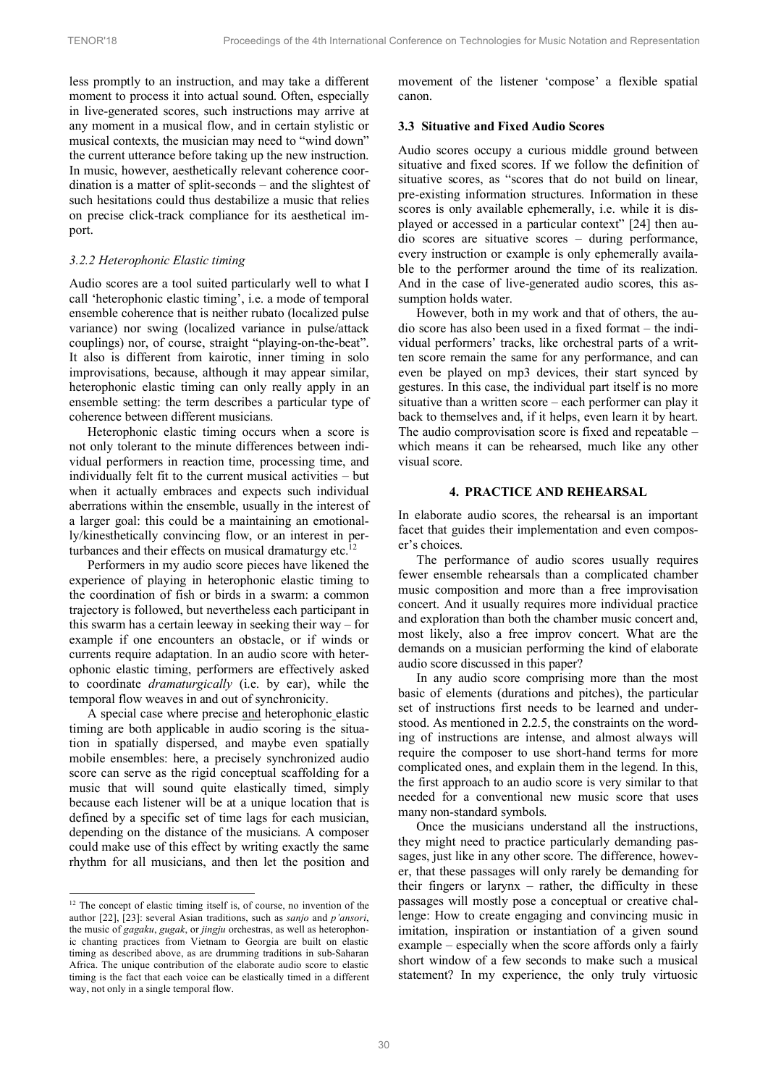less promptly to an instruction, and may take a different moment to process it into actual sound. Often, especially in live-generated scores, such instructions may arrive at any moment in a musical flow, and in certain stylistic or musical contexts, the musician may need to "wind down" the current utterance before taking up the new instruction. In music, however, aesthetically relevant coherence coordination is a matter of split-seconds – and the slightest of such hesitations could thus destabilize a music that relies on precise click-track compliance for its aesthetical import.

#### *3.2.2 Heterophonic Elastic timing*

Audio scores are a tool suited particularly well to what I call 'heterophonic elastic timing', i.e. a mode of temporal ensemble coherence that is neither rubato (localized pulse variance) nor swing (localized variance in pulse/attack couplings) nor, of course, straight "playing-on-the-beat". It also is different from kairotic, inner timing in solo improvisations, because, although it may appear similar, heterophonic elastic timing can only really apply in an ensemble setting: the term describes a particular type of coherence between different musicians.

Heterophonic elastic timing occurs when a score is not only tolerant to the minute differences between individual performers in reaction time, processing time, and individually felt fit to the current musical activities – but when it actually embraces and expects such individual aberrations within the ensemble, usually in the interest of a larger goal: this could be a maintaining an emotionally/kinesthetically convincing flow, or an interest in perturbances and their effects on musical dramaturgy etc.<sup>12</sup>

Performers in my audio score pieces have likened the experience of playing in heterophonic elastic timing to the coordination of fish or birds in a swarm: a common trajectory is followed, but nevertheless each participant in this swarm has a certain leeway in seeking their way – for example if one encounters an obstacle, or if winds or currents require adaptation. In an audio score with heterophonic elastic timing, performers are effectively asked to coordinate *dramaturgically* (i.e. by ear), while the temporal flow weaves in and out of synchronicity.

A special case where precise and heterophonic elastic timing are both applicable in audio scoring is the situation in spatially dispersed, and maybe even spatially mobile ensembles: here, a precisely synchronized audio score can serve as the rigid conceptual scaffolding for a music that will sound quite elastically timed, simply because each listener will be at a unique location that is defined by a specific set of time lags for each musician, depending on the distance of the musicians. A composer could make use of this effect by writing exactly the same rhythm for all musicians, and then let the position and

-

movement of the listener 'compose' a flexible spatial canon.

# **3.3 Situative and Fixed Audio Scores**

Audio scores occupy a curious middle ground between situative and fixed scores. If we follow the definition of situative scores, as "scores that do not build on linear, pre-existing information structures. Information in these scores is only available ephemerally, i.e. while it is displayed or accessed in a particular context" [24] then audio scores are situative scores – during performance, every instruction or example is only ephemerally available to the performer around the time of its realization. And in the case of live-generated audio scores, this assumption holds water.

However, both in my work and that of others, the audio score has also been used in a fixed format – the individual performers' tracks, like orchestral parts of a written score remain the same for any performance, and can even be played on mp3 devices, their start synced by gestures. In this case, the individual part itself is no more situative than a written score – each performer can play it back to themselves and, if it helps, even learn it by heart. The audio comprovisation score is fixed and repeatable – which means it can be rehearsed, much like any other visual score.

#### **4. PRACTICE AND REHEARSAL**

In elaborate audio scores, the rehearsal is an important facet that guides their implementation and even composer's choices.

The performance of audio scores usually requires fewer ensemble rehearsals than a complicated chamber music composition and more than a free improvisation concert. And it usually requires more individual practice and exploration than both the chamber music concert and, most likely, also a free improv concert. What are the demands on a musician performing the kind of elaborate audio score discussed in this paper?

In any audio score comprising more than the most basic of elements (durations and pitches), the particular set of instructions first needs to be learned and understood. As mentioned in 2.2.5, the constraints on the wording of instructions are intense, and almost always will require the composer to use short-hand terms for more complicated ones, and explain them in the legend. In this, the first approach to an audio score is very similar to that needed for a conventional new music score that uses many non-standard symbols.

Once the musicians understand all the instructions, they might need to practice particularly demanding passages, just like in any other score. The difference, however, that these passages will only rarely be demanding for their fingers or larynx – rather, the difficulty in these passages will mostly pose a conceptual or creative challenge: How to create engaging and convincing music in imitation, inspiration or instantiation of a given sound example – especially when the score affords only a fairly short window of a few seconds to make such a musical statement? In my experience, the only truly virtuosic

 $12$  The concept of elastic timing itself is, of course, no invention of the author [22], [23]: several Asian traditions, such as *sanjo* and *p'ansori*, the music of *gagaku*, *gugak*, or *jingju* orchestras, as well as heterophonic chanting practices from Vietnam to Georgia are built on elastic timing as described above, as are drumming traditions in sub-Saharan Africa. The unique contribution of the elaborate audio score to elastic timing is the fact that each voice can be elastically timed in a different way, not only in a single temporal flow.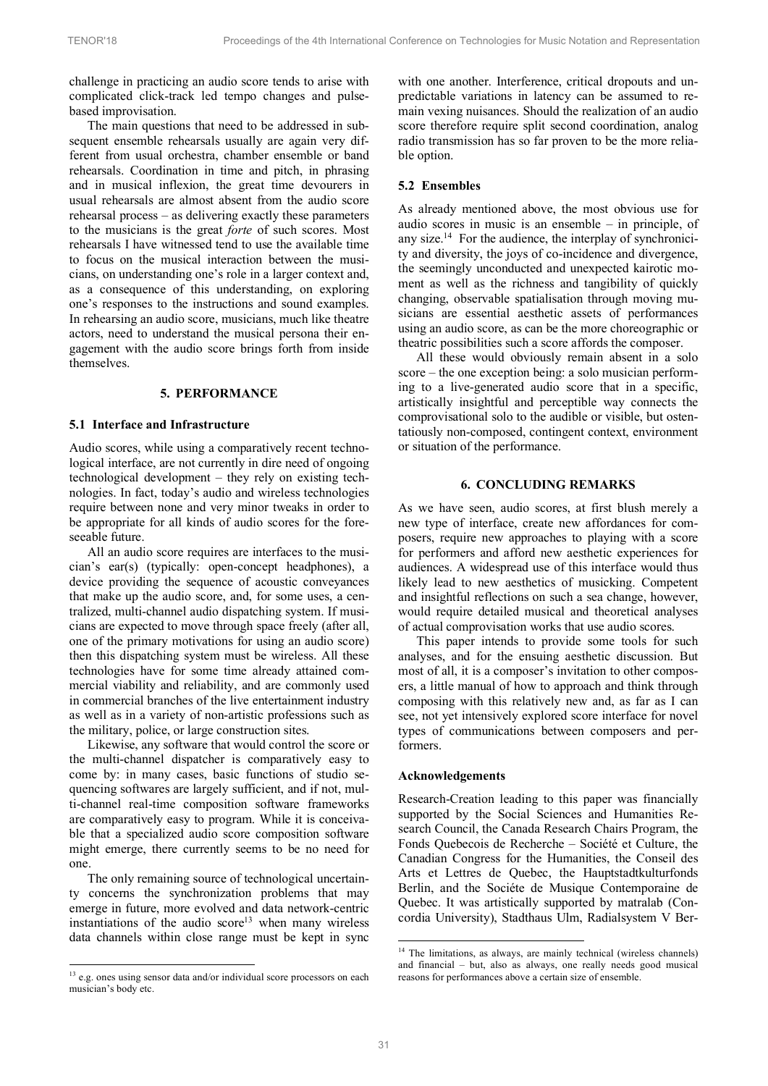challenge in practicing an audio score tends to arise with complicated click-track led tempo changes and pulsebased improvisation.

The main questions that need to be addressed in subsequent ensemble rehearsals usually are again very different from usual orchestra, chamber ensemble or band rehearsals. Coordination in time and pitch, in phrasing and in musical inflexion, the great time devourers in usual rehearsals are almost absent from the audio score rehearsal process – as delivering exactly these parameters to the musicians is the great *forte* of such scores. Most rehearsals I have witnessed tend to use the available time to focus on the musical interaction between the musicians, on understanding one's role in a larger context and, as a consequence of this understanding, on exploring one's responses to the instructions and sound examples. In rehearsing an audio score, musicians, much like theatre actors, need to understand the musical persona their engagement with the audio score brings forth from inside themselves.

#### **5. PERFORMANCE**

#### **5.1 Interface and Infrastructure**

Audio scores, while using a comparatively recent technological interface, are not currently in dire need of ongoing technological development – they rely on existing technologies. In fact, today's audio and wireless technologies require between none and very minor tweaks in order to be appropriate for all kinds of audio scores for the foreseeable future.

All an audio score requires are interfaces to the musician's ear(s) (typically: open-concept headphones), a device providing the sequence of acoustic conveyances that make up the audio score, and, for some uses, a centralized, multi-channel audio dispatching system. If musicians are expected to move through space freely (after all, one of the primary motivations for using an audio score) then this dispatching system must be wireless. All these technologies have for some time already attained commercial viability and reliability, and are commonly used in commercial branches of the live entertainment industry as well as in a variety of non-artistic professions such as the military, police, or large construction sites.

Likewise, any software that would control the score or the multi-channel dispatcher is comparatively easy to come by: in many cases, basic functions of studio sequencing softwares are largely sufficient, and if not, multi-channel real-time composition software frameworks are comparatively easy to program. While it is conceivable that a specialized audio score composition software might emerge, there currently seems to be no need for one.

The only remaining source of technological uncertainty concerns the synchronization problems that may emerge in future, more evolved and data network-centric instantiations of the audio  $score<sup>13</sup>$  when many wireless data channels within close range must be kept in sync

-

with one another. Interference, critical dropouts and unpredictable variations in latency can be assumed to remain vexing nuisances. Should the realization of an audio score therefore require split second coordination, analog radio transmission has so far proven to be the more reliable option.

#### **5.2 Ensembles**

As already mentioned above, the most obvious use for audio scores in music is an ensemble – in principle, of any size.<sup>14</sup> For the audience, the interplay of synchronicity and diversity, the joys of co-incidence and divergence, the seemingly unconducted and unexpected kairotic moment as well as the richness and tangibility of quickly changing, observable spatialisation through moving musicians are essential aesthetic assets of performances using an audio score, as can be the more choreographic or theatric possibilities such a score affords the composer.

All these would obviously remain absent in a solo score – the one exception being: a solo musician performing to a live-generated audio score that in a specific, artistically insightful and perceptible way connects the comprovisational solo to the audible or visible, but ostentatiously non-composed, contingent context, environment or situation of the performance.

# **6. CONCLUDING REMARKS**

As we have seen, audio scores, at first blush merely a new type of interface, create new affordances for composers, require new approaches to playing with a score for performers and afford new aesthetic experiences for audiences. A widespread use of this interface would thus likely lead to new aesthetics of musicking. Competent and insightful reflections on such a sea change, however, would require detailed musical and theoretical analyses of actual comprovisation works that use audio scores.

This paper intends to provide some tools for such analyses, and for the ensuing aesthetic discussion. But most of all, it is a composer's invitation to other composers, a little manual of how to approach and think through composing with this relatively new and, as far as I can see, not yet intensively explored score interface for novel types of communications between composers and performers.

#### **Acknowledgements**

Research-Creation leading to this paper was financially supported by the Social Sciences and Humanities Research Council, the Canada Research Chairs Program, the Fonds Quebecois de Recherche – Société et Culture, the Canadian Congress for the Humanities, the Conseil des Arts et Lettres de Quebec, the Hauptstadtkulturfonds Berlin, and the Sociéte de Musique Contemporaine de Quebec. It was artistically supported by matralab (Concordia University), Stadthaus Ulm, Radialsystem V Ber-

<sup>&</sup>lt;sup>13</sup> e.g. ones using sensor data and/or individual score processors on each musician's body etc.

<sup>&</sup>lt;sup>14</sup> The limitations, as always, are mainly technical (wireless channels) and financial – but, also as always, one really needs good musical reasons for performances above a certain size of ensemble.